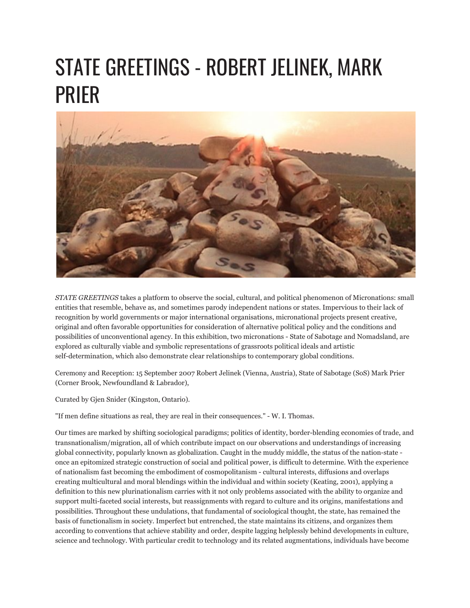## STATE GREETINGS - ROBERT JELINEK, MARK PRIER



*STATE GREETINGS* takes a platform to observe the social, cultural, and political phenomenon of Micronations: small entities that resemble, behave as, and sometimes parody independent nations or states. Impervious to their lack of recognition by world governments or major international organisations, micronational projects present creative, original and often favorable opportunities for consideration of alternative political policy and the conditions and possibilities of unconventional agency. In this exhibition, two micronations - State of Sabotage and Nomadsland, are explored as culturally viable and symbolic representations of grassroots political ideals and artistic self-determination, which also demonstrate clear relationships to contemporary global conditions.

Ceremony and Reception: 15 September 2007 Robert Jelinek (Vienna, Austria), State of Sabotage (SoS) Mark Prier (Corner Brook, Newfoundland & Labrador),

Curated by Gjen Snider (Kingston, Ontario).

"If men define situations as real, they are real in their consequences." - W. I. Thomas.

Our times are marked by shifting sociological paradigms; politics of identity, border-blending economies of trade, and transnationalism/migration, all of which contribute impact on our observations and understandings of increasing global connectivity, popularly known as globalization. Caught in the muddy middle, the status of the nation-state once an epitomized strategic construction of social and political power, is difficult to determine. With the experience of nationalism fast becoming the embodiment of cosmopolitanism - cultural interests, diffusions and overlaps creating multicultural and moral blendings within the individual and within society (Keating, 2001), applying a definition to this new plurinationalism carries with it not only problems associated with the ability to organize and support multi-faceted social interests, but reassignments with regard to culture and its origins, manifestations and possibilities. Throughout these undulations, that fundamental of sociological thought, the state, has remained the basis of functionalism in society. Imperfect but entrenched, the state maintains its citizens, and organizes them according to conventions that achieve stability and order, despite lagging helplessly behind developments in culture, science and technology. With particular credit to technology and its related augmentations, individuals have become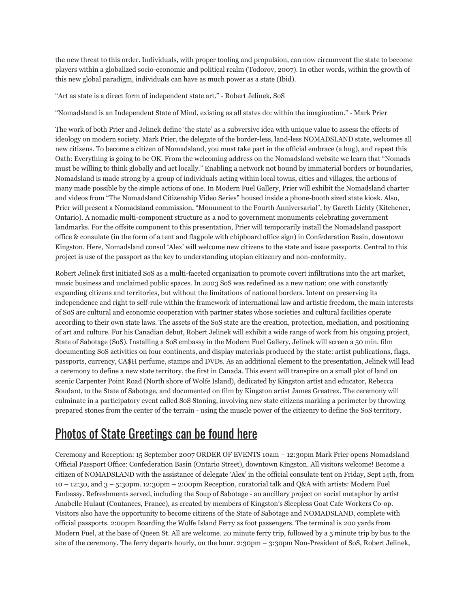the new threat to this order. Individuals, with proper tooling and propulsion, can now circumvent the state to become players within a globalized socio-economic and political realm (Todorov, 2007). In other words, within the growth of this new global paradigm, individuals can have as much power as a state (Ibid).

"Art as state is a direct form of independent state art." - Robert Jelinek, SoS

"Nomadsland is an Independent State of Mind, existing as all states do: within the imagination." - Mark Prier

The work of both Prier and Jelinek define 'the state' as a subversive idea with unique value to assess the effects of ideology on modern society. Mark Prier, the delegate of the border-less, land-less NOMADSLAND state, welcomes all new citizens. To become a citizen of Nomadsland, you must take part in the official embrace (a hug), and repeat this Oath: Everything is going to be OK. From the welcoming address on the Nomadsland website we learn that "Nomads must be willing to think globally and act locally." Enabling a network not bound by immaterial borders or boundaries, Nomadsland is made strong by a group of individuals acting within local towns, cities and villages, the actions of many made possible by the simple actions of one. In Modern Fuel Gallery, Prier will exhibit the Nomadsland charter and videos from "The Nomadsland Citizenship Video Series" housed inside a phone-booth sized state kiosk. Also, Prier will present a Nomadsland commission, "Monument to the Fourth Anniversarial", by Gareth Lichty (Kitchener, Ontario). A nomadic multi-component structure as a nod to government monuments celebrating government landmarks. For the offsite component to this presentation, Prier will temporarily install the Nomadsland passport office & consulate (in the form of a tent and flagpole with chipboard office sign) in Confederation Basin, downtown Kingston. Here, Nomadsland consul 'Alex' will welcome new citizens to the state and issue passports. Central to this project is use of the passport as the key to understanding utopian citizenry and non-conformity.

Robert Jelinek first initiated SoS as a multi-faceted organization to promote covert infiltrations into the art market, music business and unclaimed public spaces. In 2003 SoS was redefined as a new nation; one with constantly expanding citizens and territories, but without the limitations of national borders. Intent on preserving its independence and right to self-rule within the framework of international law and artistic freedom, the main interests of SoS are cultural and economic cooperation with partner states whose societies and cultural facilities operate according to their own state laws. The assets of the SoS state are the creation, protection, mediation, and positioning of art and culture. For his Canadian debut, Robert Jelinek will exhibit a wide range of work from his ongoing project, State of Sabotage (SoS). Installing a SoS embassy in the Modern Fuel Gallery, Jelinek will screen a 50 min. film documenting SoS activities on four continents, and display materials produced by the state: artist publications, flags, passports, currency, CA\$H perfume, stamps and DVDs. As an additional element to the presentation, Jelinek will lead a ceremony to define a new state territory, the first in Canada. This event will transpire on a small plot of land on scenic Carpenter Point Road (North shore of Wolfe Island), dedicated by Kingston artist and educator, Rebecca Soudant, to the State of Sabotage, and documented on film by Kingston artist James Greatrex. The ceremony will culminate in a participatory event called SoS Stoning, involving new state citizens marking a perimeter by throwing prepared stones from the center of the terrain - using the muscle power of the citizenry to define the SoS territory.

## Photos of State [Greetings](http://www.flickr.com/photos/modernfuel/sets/72157603439990658/) can be found here

Ceremony and Reception: 15 September 2007 ORDER OF EVENTS 10am – 12:30pm Mark Prier opens Nomadsland Official Passport Office: Confederation Basin (Ontario Street), downtown Kingston. All visitors welcome! Become a citizen of NOMADSLAND with the assistance of delegate 'Alex' in the official consulate tent on Friday, Sept 14th, from 10 – 12:30, and 3 – 5:30pm. 12:30pm – 2:00pm Reception, curatorial talk and Q&A with artists: Modern Fuel Embassy. Refreshments served, including the Soup of Sabotage - an ancillary project on social metaphor by artist Anabelle Hulaut (Coutances, France), as created by members of Kingston's Sleepless Goat Cafe Workers Co-op. Visitors also have the opportunity to become citizens of the State of Sabotage and NOMADSLAND, complete with official passports. 2:00pm Boarding the Wolfe Island Ferry as foot passengers. The terminal is 200 yards from Modern Fuel, at the base of Queen St. All are welcome. 20 minute ferry trip, followed by a 5 minute trip by bus to the site of the ceremony. The ferry departs hourly, on the hour. 2:30pm – 3:30pm Non-President of SoS, Robert Jelinek,